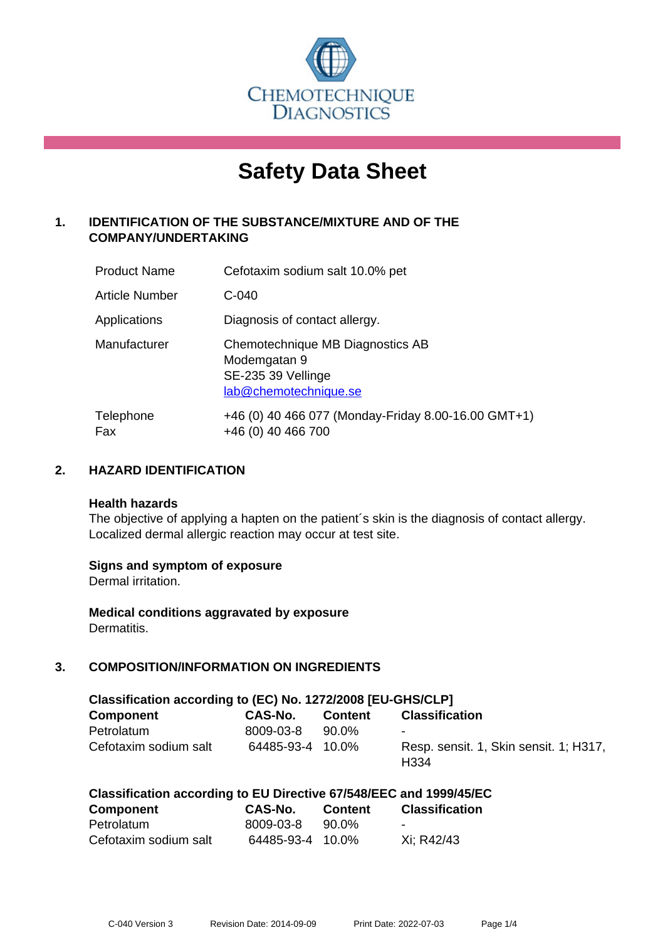

# **Safety Data Sheet**

# **1. IDENTIFICATION OF THE SUBSTANCE/MIXTURE AND OF THE COMPANY/UNDERTAKING**

| <b>Product Name</b>   | Cefotaxim sodium salt 10.0% pet                                                                 |
|-----------------------|-------------------------------------------------------------------------------------------------|
| <b>Article Number</b> | $C-040$                                                                                         |
| Applications          | Diagnosis of contact allergy.                                                                   |
| Manufacturer          | Chemotechnique MB Diagnostics AB<br>Modemgatan 9<br>SE-235 39 Vellinge<br>lab@chemotechnique.se |
| Telephone<br>Fax      | +46 (0) 40 466 077 (Monday-Friday 8.00-16.00 GMT+1)<br>+46 (0) 40 466 700                       |

## **2. HAZARD IDENTIFICATION**

#### **Health hazards**

The objective of applying a hapten on the patient's skin is the diagnosis of contact allergy. Localized dermal allergic reaction may occur at test site.

## **Signs and symptom of exposure**

Dermal irritation.

**Medical conditions aggravated by exposure** Dermatitis.

# **3. COMPOSITION/INFORMATION ON INGREDIENTS**

| Classification according to (EC) No. 1272/2008 [EU-GHS/CLP] |                  |                |                                                            |  |  |  |
|-------------------------------------------------------------|------------------|----------------|------------------------------------------------------------|--|--|--|
| <b>Component</b>                                            | <b>CAS-No.</b>   | <b>Content</b> | <b>Classification</b>                                      |  |  |  |
| Petrolatum                                                  | 8009-03-8        | 90.0%          | $\blacksquare$                                             |  |  |  |
| Cefotaxim sodium salt                                       | 64485-93-4 10.0% |                | Resp. sensit. 1, Skin sensit. 1; H317,<br>H <sub>334</sub> |  |  |  |

| Component             | CAS-No.          | <b>Content</b> | <b>Classification</b> |
|-----------------------|------------------|----------------|-----------------------|
| Petrolatum            | 8009-03-8        | 90.0%          | $\sim$                |
| Cefotaxim sodium salt | 64485-93-4 10.0% |                | Xi: R42/43            |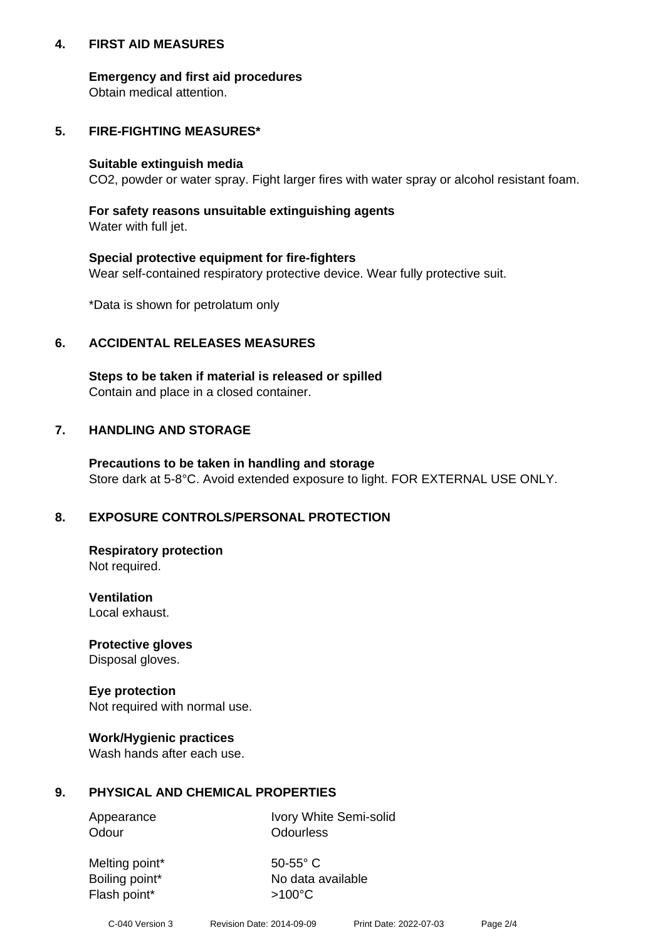## **4. FIRST AID MEASURES**

## **Emergency and first aid procedures**

Obtain medical attention.

# **5. FIRE-FIGHTING MEASURES\***

#### **Suitable extinguish media**

CO2, powder or water spray. Fight larger fires with water spray or alcohol resistant foam.

# **For safety reasons unsuitable extinguishing agents**

Water with full jet.

## **Special protective equipment for fire-fighters**

Wear self-contained respiratory protective device. Wear fully protective suit.

\*Data is shown for petrolatum only

## **6. ACCIDENTAL RELEASES MEASURES**

**Steps to be taken if material is released or spilled** Contain and place in a closed container.

# **7. HANDLING AND STORAGE**

**Precautions to be taken in handling and storage** Store dark at 5-8°C. Avoid extended exposure to light. FOR EXTERNAL USE ONLY.

# **8. EXPOSURE CONTROLS/PERSONAL PROTECTION**

**Respiratory protection** Not required.

**Ventilation** Local exhaust.

**Protective gloves** Disposal gloves.

#### **Eye protection** Not required with normal use.

## **Work/Hygienic practices**

Wash hands after each use.

## **9. PHYSICAL AND CHEMICAL PROPERTIES**

Odour **Odourless** 

Appearance Ivory White Semi-solid

Melting point\* 50-55° C Flash point\*  $>100^{\circ}$ C

Boiling point\* No data available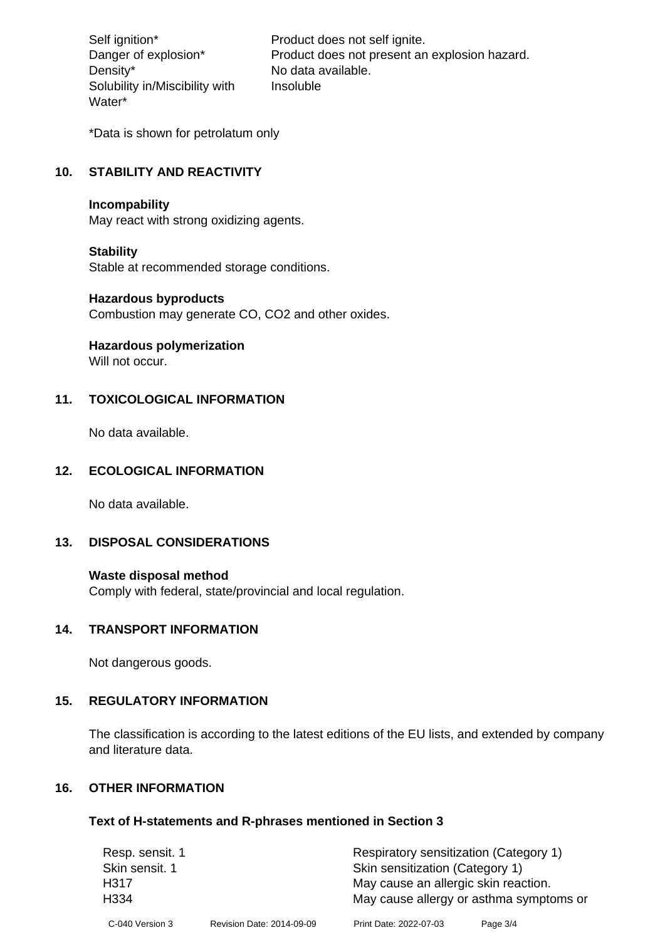Density\* No data available. Solubility in/Miscibility with Water\*

Self ignition\* Product does not self ignite. Danger of explosion\* Product does not present an explosion hazard. Insoluble

\*Data is shown for petrolatum only

# **10. STABILITY AND REACTIVITY**

#### **Incompability**

May react with strong oxidizing agents.

#### **Stability**

Stable at recommended storage conditions.

## **Hazardous byproducts**

Combustion may generate CO, CO2 and other oxides.

**Hazardous polymerization**

Will not occur.

## **11. TOXICOLOGICAL INFORMATION**

No data available.

## **12. ECOLOGICAL INFORMATION**

No data available.

## **13. DISPOSAL CONSIDERATIONS**

#### **Waste disposal method**

Comply with federal, state/provincial and local regulation.

#### **14. TRANSPORT INFORMATION**

Not dangerous goods.

## **15. REGULATORY INFORMATION**

The classification is according to the latest editions of the EU lists, and extended by company and literature data.

#### **16. OTHER INFORMATION**

#### **Text of H-statements and R-phrases mentioned in Section 3**

| Resp. sensit. 1  |                           | Respiratory sensitization (Category 1)  |          |  |
|------------------|---------------------------|-----------------------------------------|----------|--|
| Skin sensit. 1   |                           | Skin sensitization (Category 1)         |          |  |
| H317             |                           | May cause an allergic skin reaction.    |          |  |
| H <sub>334</sub> |                           | May cause allergy or asthma symptoms or |          |  |
| C-040 Version 3  | Revision Date: 2014-09-09 | Print Date: 2022-07-03                  | Page 3/4 |  |